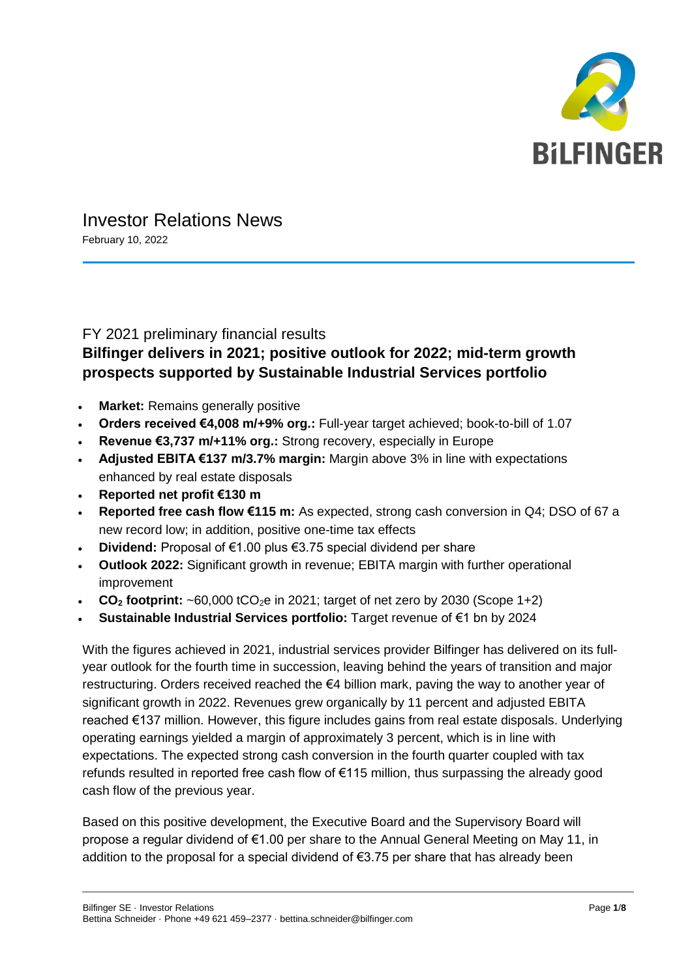

# Investor Relations News

February 10, 2022

## FY 2021 preliminary financial results **Bilfinger delivers in 2021; positive outlook for 2022; mid-term growth prospects supported by Sustainable Industrial Services portfolio**

- **Market: Remains generally positive**
- **Orders received €4,008 m/+9% org.:** Full-year target achieved; book-to-bill of 1.07
- **Revenue €3,737 m/+11% org.:** Strong recovery, especially in Europe
- **Adjusted EBITA €137 m/3.7% margin:** Margin above 3% in line with expectations enhanced by real estate disposals
- **Reported net profit €130 m**
- **Reported free cash flow €115 m:** As expected, strong cash conversion in Q4; DSO of 67 a new record low; in addition, positive one-time tax effects
- **Dividend:** Proposal of €1.00 plus €3.75 special dividend per share
- **Outlook 2022:** Significant growth in revenue; EBITA margin with further operational improvement
- $CO<sub>2</sub>$  **footprint:**  $~80.000$  tCO<sub>2</sub>e in 2021; target of net zero by 2030 (Scope 1+2)
- **Sustainable Industrial Services portfolio:** Target revenue of €1 bn by 2024

With the figures achieved in 2021, industrial services provider Bilfinger has delivered on its fullyear outlook for the fourth time in succession, leaving behind the years of transition and major restructuring. Orders received reached the €4 billion mark, paving the way to another year of significant growth in 2022. Revenues grew organically by 11 percent and adjusted EBITA reached €137 million. However, this figure includes gains from real estate disposals. Underlying operating earnings yielded a margin of approximately 3 percent, which is in line with expectations. The expected strong cash conversion in the fourth quarter coupled with tax refunds resulted in reported free cash flow of €115 million, thus surpassing the already good cash flow of the previous year.

Based on this positive development, the Executive Board and the Supervisory Board will propose a regular dividend of €1.00 per share to the Annual General Meeting on May 11, in addition to the proposal for a special dividend of  $\epsilon$ 3.75 per share that has already been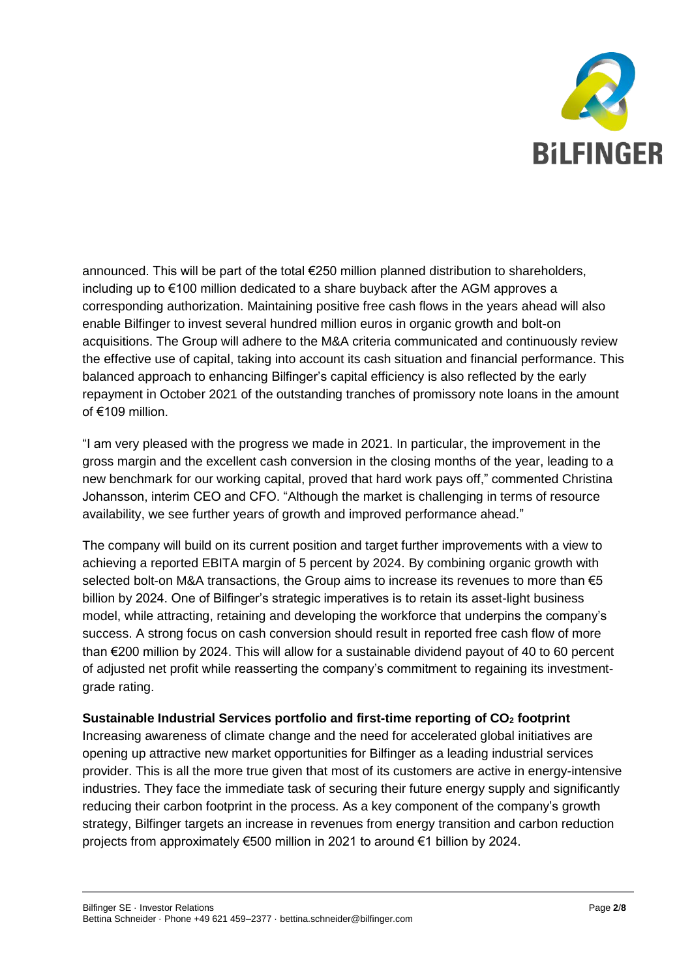

announced. This will be part of the total €250 million planned distribution to shareholders, including up to €100 million dedicated to a share buyback after the AGM approves a corresponding authorization. Maintaining positive free cash flows in the years ahead will also enable Bilfinger to invest several hundred million euros in organic growth and bolt-on acquisitions. The Group will adhere to the M&A criteria communicated and continuously review the effective use of capital, taking into account its cash situation and financial performance. This balanced approach to enhancing Bilfinger's capital efficiency is also reflected by the early repayment in October 2021 of the outstanding tranches of promissory note loans in the amount of €109 million.

"I am very pleased with the progress we made in 2021. In particular, the improvement in the gross margin and the excellent cash conversion in the closing months of the year, leading to a new benchmark for our working capital, proved that hard work pays off," commented Christina Johansson, interim CEO and CFO. "Although the market is challenging in terms of resource availability, we see further years of growth and improved performance ahead."

The company will build on its current position and target further improvements with a view to achieving a reported EBITA margin of 5 percent by 2024. By combining organic growth with selected bolt-on M&A transactions, the Group aims to increase its revenues to more than  $\epsilon$ 5 billion by 2024. One of Bilfinger's strategic imperatives is to retain its asset-light business model, while attracting, retaining and developing the workforce that underpins the company's success. A strong focus on cash conversion should result in reported free cash flow of more than €200 million by 2024. This will allow for a sustainable dividend payout of 40 to 60 percent of adjusted net profit while reasserting the company's commitment to regaining its investmentgrade rating.

#### **Sustainable Industrial Services portfolio and first-time reporting of CO<sup>2</sup> footprint**

Increasing awareness of climate change and the need for accelerated global initiatives are opening up attractive new market opportunities for Bilfinger as a leading industrial services provider. This is all the more true given that most of its customers are active in energy-intensive industries. They face the immediate task of securing their future energy supply and significantly reducing their carbon footprint in the process. As a key component of the company's growth strategy, Bilfinger targets an increase in revenues from energy transition and carbon reduction projects from approximately €500 million in 2021 to around €1 billion by 2024.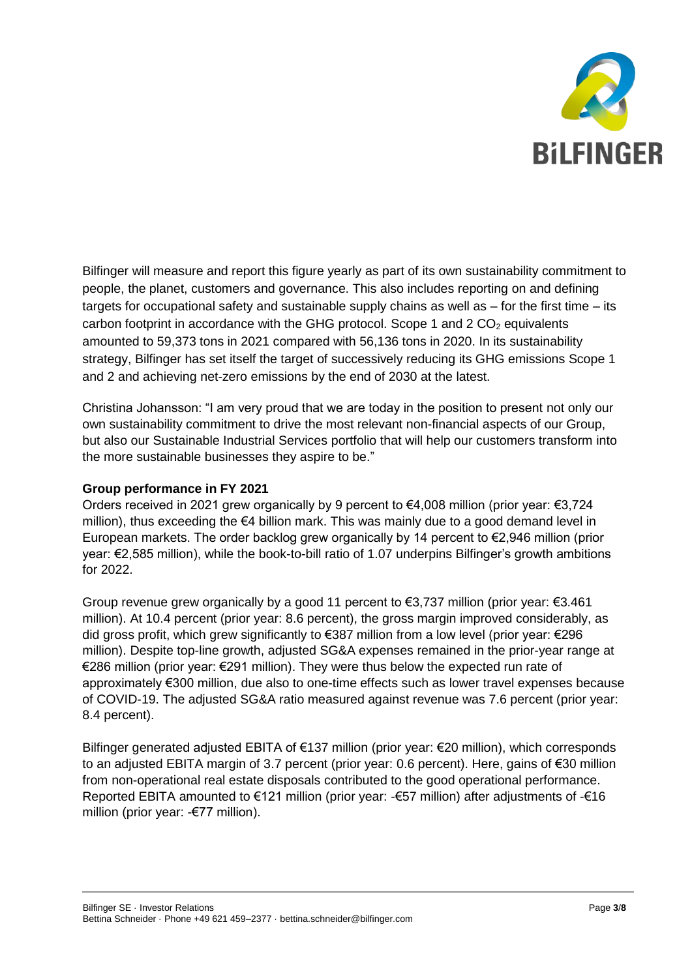

Bilfinger will measure and report this figure yearly as part of its own sustainability commitment to people, the planet, customers and governance. This also includes reporting on and defining targets for occupational safety and sustainable supply chains as well as – for the first time – its carbon footprint in accordance with the GHG protocol. Scope 1 and  $2 CO<sub>2</sub>$  equivalents amounted to 59,373 tons in 2021 compared with 56,136 tons in 2020. In its sustainability strategy, Bilfinger has set itself the target of successively reducing its GHG emissions Scope 1 and 2 and achieving net-zero emissions by the end of 2030 at the latest.

Christina Johansson: "I am very proud that we are today in the position to present not only our own sustainability commitment to drive the most relevant non-financial aspects of our Group, but also our Sustainable Industrial Services portfolio that will help our customers transform into the more sustainable businesses they aspire to be."

#### **Group performance in FY 2021**

Orders received in 2021 grew organically by 9 percent to €4,008 million (prior year: €3,724 million), thus exceeding the €4 billion mark. This was mainly due to a good demand level in European markets. The order backlog grew organically by 14 percent to €2,946 million (prior year: €2,585 million), while the book-to-bill ratio of 1.07 underpins Bilfinger's growth ambitions for 2022.

Group revenue grew organically by a good 11 percent to  $\epsilon$ 3,737 million (prior year:  $\epsilon$ 3.461 million). At 10.4 percent (prior year: 8.6 percent), the gross margin improved considerably, as did gross profit, which grew significantly to €387 million from a low level (prior year: €296 million). Despite top-line growth, adjusted SG&A expenses remained in the prior-year range at €286 million (prior year: €291 million). They were thus below the expected run rate of approximately €300 million, due also to one-time effects such as lower travel expenses because of COVID-19. The adjusted SG&A ratio measured against revenue was 7.6 percent (prior year: 8.4 percent).

Bilfinger generated adjusted EBITA of €137 million (prior year: €20 million), which corresponds to an adjusted EBITA margin of 3.7 percent (prior year: 0.6 percent). Here, gains of €30 million from non-operational real estate disposals contributed to the good operational performance. Reported EBITA amounted to €121 million (prior year: -€57 million) after adjustments of -€16 million (prior year: -€77 million).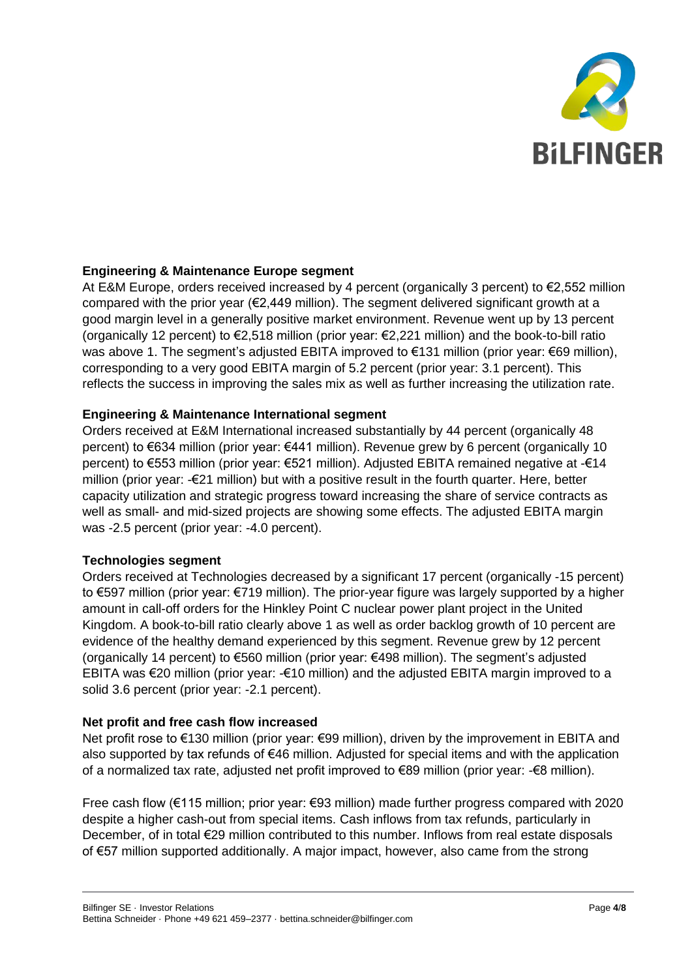

#### **Engineering & Maintenance Europe segment**

At E&M Europe, orders received increased by 4 percent (organically 3 percent) to €2,552 million compared with the prior year ( $E2.449$  million). The segment delivered significant growth at a good margin level in a generally positive market environment. Revenue went up by 13 percent (organically 12 percent) to €2,518 million (prior year: €2,221 million) and the book-to-bill ratio was above 1. The segment's adjusted EBITA improved to €131 million (prior year: €69 million), corresponding to a very good EBITA margin of 5.2 percent (prior year: 3.1 percent). This reflects the success in improving the sales mix as well as further increasing the utilization rate.

#### **Engineering & Maintenance International segment**

Orders received at E&M International increased substantially by 44 percent (organically 48 percent) to €634 million (prior year: €441 million). Revenue grew by 6 percent (organically 10 percent) to €553 million (prior year: €521 million). Adjusted EBITA remained negative at -€14 million (prior year: -€21 million) but with a positive result in the fourth quarter. Here, better capacity utilization and strategic progress toward increasing the share of service contracts as well as small- and mid-sized projects are showing some effects. The adjusted EBITA margin was -2.5 percent (prior year: -4.0 percent).

#### **Technologies segment**

Orders received at Technologies decreased by a significant 17 percent (organically -15 percent) to €597 million (prior year: €719 million). The prior-year figure was largely supported by a higher amount in call-off orders for the Hinkley Point C nuclear power plant project in the United Kingdom. A book-to-bill ratio clearly above 1 as well as order backlog growth of 10 percent are evidence of the healthy demand experienced by this segment. Revenue grew by 12 percent (organically 14 percent) to €560 million (prior year: €498 million). The segment's adjusted EBITA was €20 million (prior year: -€10 million) and the adjusted EBITA margin improved to a solid 3.6 percent (prior year: -2.1 percent).

#### **Net profit and free cash flow increased**

Net profit rose to €130 million (prior year: €99 million), driven by the improvement in EBITA and also supported by tax refunds of €46 million. Adjusted for special items and with the application of a normalized tax rate, adjusted net profit improved to  $\epsilon$ 89 million (prior year: - $\epsilon$ 8 million).

Free cash flow (€115 million; prior year: €93 million) made further progress compared with 2020 despite a higher cash-out from special items. Cash inflows from tax refunds, particularly in December, of in total €29 million contributed to this number. Inflows from real estate disposals of €57 million supported additionally. A major impact, however, also came from the strong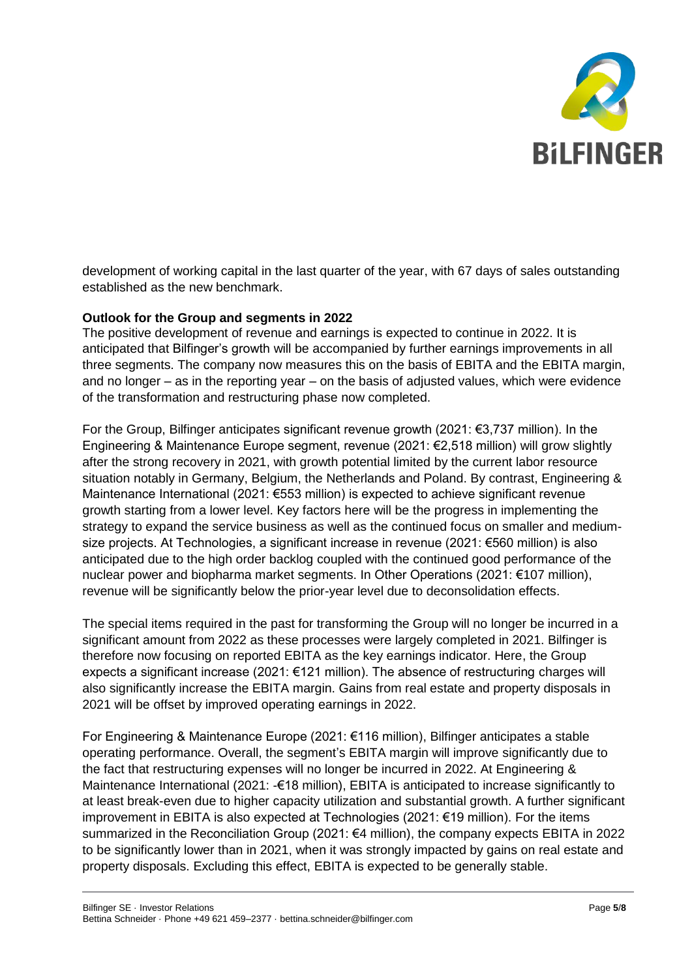

development of working capital in the last quarter of the year, with 67 days of sales outstanding established as the new benchmark.

#### **Outlook for the Group and segments in 2022**

The positive development of revenue and earnings is expected to continue in 2022. It is anticipated that Bilfinger's growth will be accompanied by further earnings improvements in all three segments. The company now measures this on the basis of EBITA and the EBITA margin, and no longer – as in the reporting year – on the basis of adjusted values, which were evidence of the transformation and restructuring phase now completed.

For the Group, Bilfinger anticipates significant revenue growth (2021: €3,737 million). In the Engineering & Maintenance Europe segment, revenue (2021: €2,518 million) will grow slightly after the strong recovery in 2021, with growth potential limited by the current labor resource situation notably in Germany, Belgium, the Netherlands and Poland. By contrast, Engineering & Maintenance International (2021: €553 million) is expected to achieve significant revenue growth starting from a lower level. Key factors here will be the progress in implementing the strategy to expand the service business as well as the continued focus on smaller and mediumsize projects. At Technologies, a significant increase in revenue (2021: €560 million) is also anticipated due to the high order backlog coupled with the continued good performance of the nuclear power and biopharma market segments. In Other Operations (2021: €107 million), revenue will be significantly below the prior-year level due to deconsolidation effects.

The special items required in the past for transforming the Group will no longer be incurred in a significant amount from 2022 as these processes were largely completed in 2021. Bilfinger is therefore now focusing on reported EBITA as the key earnings indicator. Here, the Group expects a significant increase (2021:  $\epsilon$ 121 million). The absence of restructuring charges will also significantly increase the EBITA margin. Gains from real estate and property disposals in 2021 will be offset by improved operating earnings in 2022.

For Engineering & Maintenance Europe (2021: €116 million), Bilfinger anticipates a stable operating performance. Overall, the segment's EBITA margin will improve significantly due to the fact that restructuring expenses will no longer be incurred in 2022. At Engineering & Maintenance International (2021: -€18 million), EBITA is anticipated to increase significantly to at least break-even due to higher capacity utilization and substantial growth. A further significant improvement in EBITA is also expected at Technologies (2021: €19 million). For the items summarized in the Reconciliation Group (2021: €4 million), the company expects EBITA in 2022 to be significantly lower than in 2021, when it was strongly impacted by gains on real estate and property disposals. Excluding this effect, EBITA is expected to be generally stable.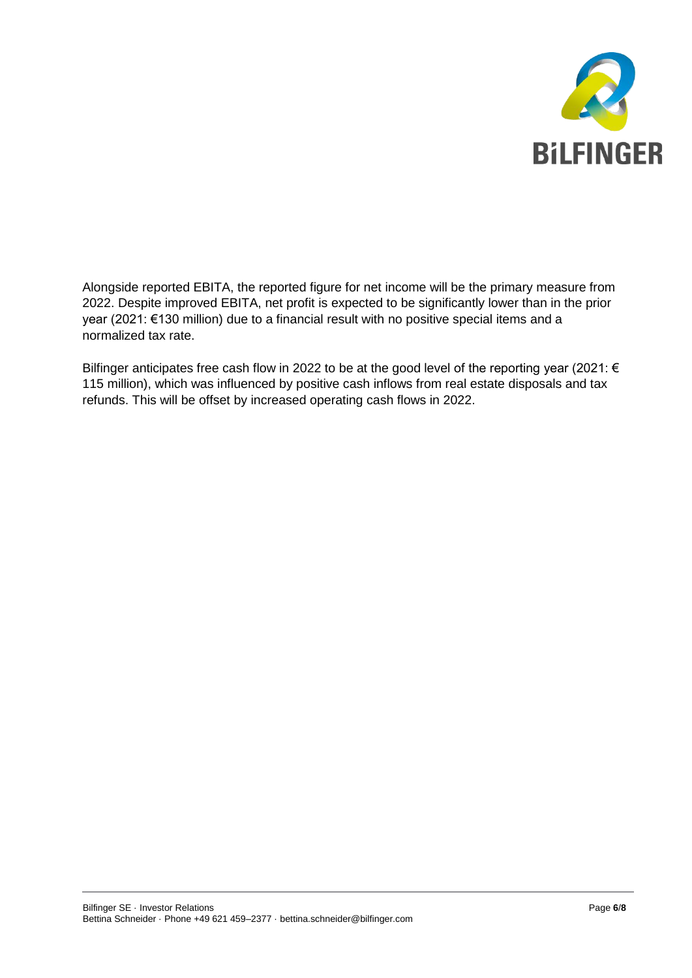

Alongside reported EBITA, the reported figure for net income will be the primary measure from 2022. Despite improved EBITA, net profit is expected to be significantly lower than in the prior year (2021: €130 million) due to a financial result with no positive special items and a normalized tax rate.

Bilfinger anticipates free cash flow in 2022 to be at the good level of the reporting year (2021: € 115 million), which was influenced by positive cash inflows from real estate disposals and tax refunds. This will be offset by increased operating cash flows in 2022.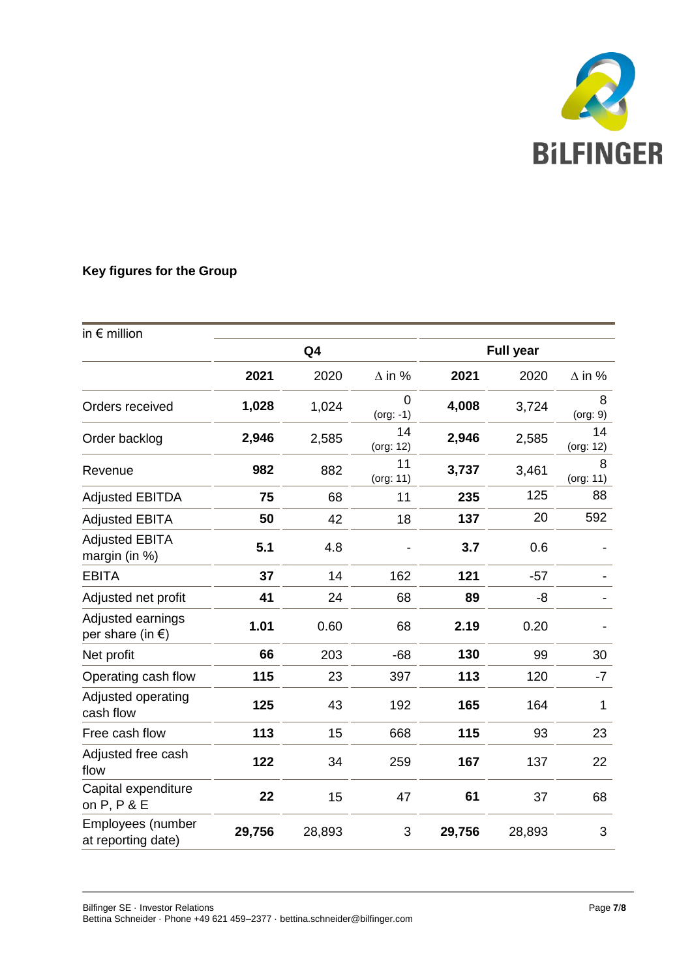

### **Key figures for the Group**

| in $\epsilon$ million                           |                |        |                  |                  |        |                 |
|-------------------------------------------------|----------------|--------|------------------|------------------|--------|-----------------|
|                                                 | Q <sub>4</sub> |        |                  | <b>Full year</b> |        |                 |
|                                                 | 2021           | 2020   | $\Delta$ in %    | 2021             | 2020   | $\Delta$ in %   |
| Orders received                                 | 1,028          | 1,024  | 0<br>$(org: -1)$ | 4,008            | 3,724  | 8<br>(org: 9)   |
| Order backlog                                   | 2,946          | 2,585  | 14<br>(org: 12)  | 2,946            | 2,585  | 14<br>(org: 12) |
| Revenue                                         | 982            | 882    | 11<br>(org: 11)  | 3,737            | 3,461  | 8<br>(org: 11)  |
| <b>Adjusted EBITDA</b>                          | 75             | 68     | 11               | 235              | 125    | 88              |
| <b>Adjusted EBITA</b>                           | 50             | 42     | 18               | 137              | 20     | 592             |
| <b>Adjusted EBITA</b><br>margin (in %)          | 5.1            | 4.8    |                  | 3.7              | 0.6    |                 |
| <b>EBITA</b>                                    | 37             | 14     | 162              | 121              | $-57$  |                 |
| Adjusted net profit                             | 41             | 24     | 68               | 89               | -8     |                 |
| Adjusted earnings<br>per share (in $\epsilon$ ) | 1.01           | 0.60   | 68               | 2.19             | 0.20   |                 |
| Net profit                                      | 66             | 203    | $-68$            | 130              | 99     | 30              |
| Operating cash flow                             | 115            | 23     | 397              | 113              | 120    | $-7$            |
| Adjusted operating<br>cash flow                 | 125            | 43     | 192              | 165              | 164    | 1               |
| Free cash flow                                  | 113            | 15     | 668              | 115              | 93     | 23              |
| Adjusted free cash<br>flow                      | 122            | 34     | 259              | 167              | 137    | 22              |
| Capital expenditure<br>on P, P & E              | 22             | 15     | 47               | 61               | 37     | 68              |
| Employees (number<br>at reporting date)         | 29,756         | 28,893 | 3                | 29,756           | 28,893 | 3               |